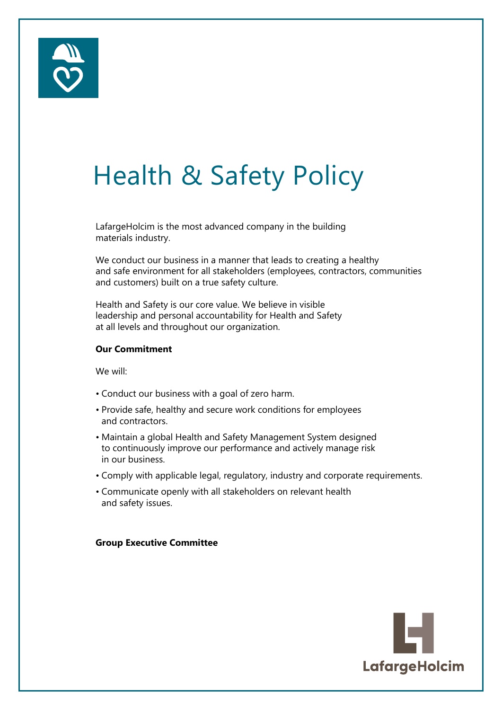

## Health & Safety Policy

LafargeHolcim is the most advanced company in the building materials industry.

We conduct our business in a manner that leads to creating a healthy and safe environment for all stakeholders (employees, contractors, communities and customers) built on a true safety culture.

Health and Safety is our core value. We believe in visible leadership and personal accountability for Health and Safety at all levels and throughout our organization.

#### **Our Commitment**

We will:

- Conduct our business with a goal of zero harm.
- Provide safe, healthy and secure work conditions for employees and contractors.
- Maintain a global Health and Safety Management System designed to continuously improve our performance and actively manage risk in our business.
- Comply with applicable legal, regulatory, industry and corporate requirements.
- Communicate openly with all stakeholders on relevant health and safety issues.

#### **Group Executive Committee**